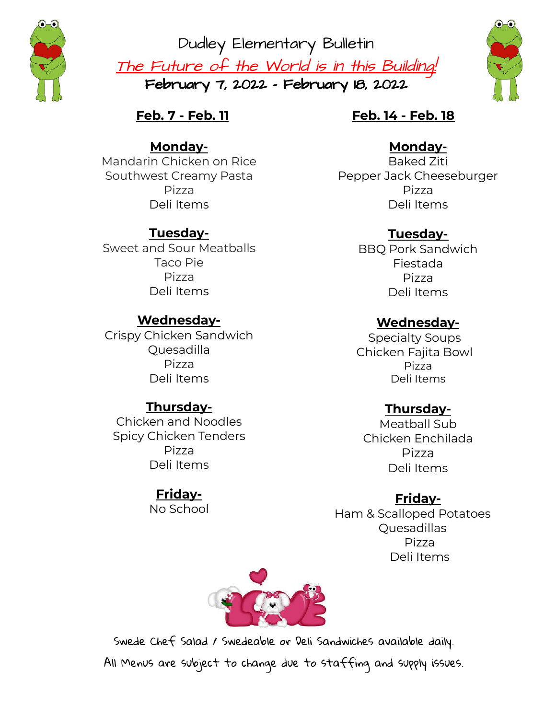

Dudley Elementary Bulletin The Future of the World is in this Building! February 7, 2022 - February 18, 2022



**Feb. 7 - Feb. 11**

#### **Monday-**

Mandarin Chicken on Rice Southwest Creamy Pasta Pizza Deli Items

## **Tuesday-**

Sweet and Sour Meatballs Taco Pie Pizza Deli Items

## **Wednesday-**

Crispy Chicken Sandwich Quesadilla Pizza Deli Items

### **Thursday-**

Chicken and Noodles Spicy Chicken Tenders Pizza Deli Items

# **Friday-**

No School

#### **Feb. 14 - Feb. 18**

#### **Monday-**

Baked Ziti Pepper Jack Cheeseburger Pizza Deli Items

## **Tuesday-**

BBQ Pork Sandwich Fiestada Pizza Deli Items

### **Wednesday-**

Specialty Soups Chicken Fajita Bowl Pizza Deli Items

### **Thursday-**

Meatball Sub Chicken Enchilada Pizza Deli Items

### **Friday-**

Ham & Scalloped Potatoes Quesadillas Pizza Deli Items



Swede Chef Salad / Swedeable or Deli Sandwiches available daily. All Menus are subject to change due to staffing and supply issues.